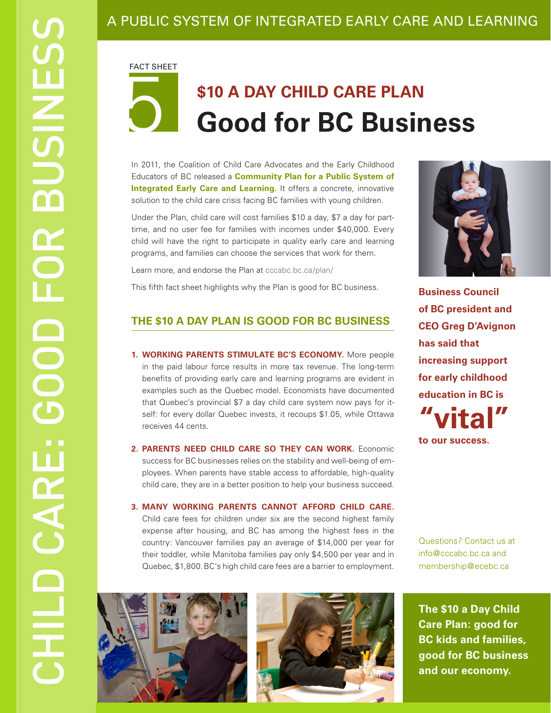### A PUBLIC SYSTEM OF INTEGRATED EARLY CARE AND LEARNING

FACT SHEET

# 5

## **\$10 A DAY CHILD CARE PLAN Good for BC Business**

In 2011, the Coalition of Child Care Advocates and the Early Childhood Educators of BC released a **[Community Plan for a Public System of](http://www.cccabc.bc.ca/plan/) [Integrated Early Care and Learning](http://www.cccabc.bc.ca/plan/).** It offers a concrete, innovative solution to the child care crisis facing BC families with young children.

Under the Plan, child care will cost families \$10 a day, \$7 a day for parttime, and no user fee for families with incomes under \$40,000. Every child will have the right to participate in quality early care and learning programs, and families can choose the services that work for them.

Learn more, and endorse the Plan at [cccabc.bc.ca/plan/](http://www.cccabc.bc.ca/plan/)

This fifth fact sheet highlights why the Plan is good for BC business.

#### **THE \$10 A DAY PLAN IS GOOD FOR BC BUSINESS**

- **1. WORKING PARENTS STIMULATE BC'S ECONOMY.** More people in the paid labour force results in more tax revenue. The long-term benefits of providing early care and learning programs are evident in examples such as the Quebec model. Economists have documented that Quebec's provincial \$7 a day child care system now pays for itself: for every dollar Quebec invests, it recoups \$1.05, while Ottawa receives 44 cents.
- **2. PARENTS NEED CHILD CARE SO THEY CAN WORK.** Economic success for BC businesses relies on the stability and well-being of employees. When parents have stable access to affordable, high-quality child care, they are in a better position to help your business succeed.
- **3. MANY WORKING PARENTS CANNOT AFFORD CHILD CARE.** Child care fees for children under six are the second highest family expense after housing, and BC has among the highest fees in the country: Vancouver families pay an average of \$14,000 per year for their toddler, while Manitoba families pay only \$4,500 per year and in Quebec, \$1,800.BC's high child care fees are a barrier to employment.



**Business Council of BC president and CEO Greg D'Avignon has said that increasing support for early childhood education in BC is "vital" to our success.**

Questions? Contact us at info@cccabc.bc.ca and membership@ecebc.ca





**The \$10 a Day Child Care Plan: good for BC kids and families, good for BC business and our economy.**